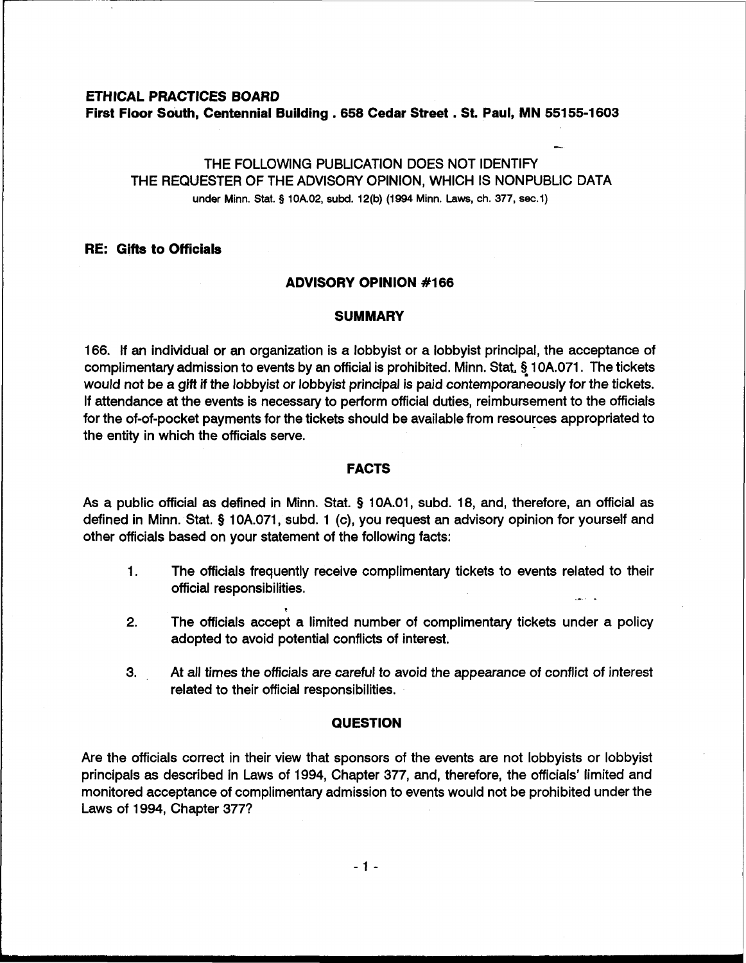# **ETHICAL PRACTICES BOARD**

**First Floor South, Centennial Building ,658 Cedar Street** . **St. Paul, BAN 55155-1603** 

## THE FOLLOWING PUBLICATION DOES NOT IDENTIFY THE REQUESTER OF THE ADVISORY OPINION, WHICH IS NONPUBLIC DATA under Minn. Stat. **9 10A.02, subd. 12(b) (1994 Minn. Laws,** ch. **377, sec.1)**

-

#### **RE: Gifts to Officials**

#### **ADVISORY OPINION #I66**

#### **SUMMARY**

166. If an individual or an organization is a lobbyist or a lobbyist principal, the acceptance of complimentary admission to events by an official is prohibited. Minn. Stat, § 10A.071. The tickets would not be a gift if the lobbyist or lobbyist principal is paid contemporaneously for the tickets. If attendance at the events is necessary to perform official duties, reimbursement to the officials for the of-of-pocket payments for the tickets should be available from resources appropriated to the entity in which the officials serve.

### **FACTS**

As a public official as defined in Minn. Stat. **9** 1 0A.01, subd. 18, and, therefore, an official as defined in Minn. Stat. **9** 10A.071, subd. 1 (c), you request an advisory opinion for yourself and other officials based on your statement of the following facts:

- 1. The officials frequently receive complimentary tickets to events related to their official responsibilities.
- **2.** The officials accept a limited number of complimentary tickets under a policy adopted to avoid potential conflicts of interest.
- 3. At all times the officials are careful to avoid the appearance of conflict of interest related to their official responsibilities.

#### **QUESTION**

Are the officials correct in their view that sponsors of the events are not lobbyists or lobbyist principals as described in Laws of 1994, Chapter 377, and, therefore, the officials' limited and monitored acceptance of complimentary admission to events would not be prohibited under the Laws of 1994, Chapter 377?

 $-1 -$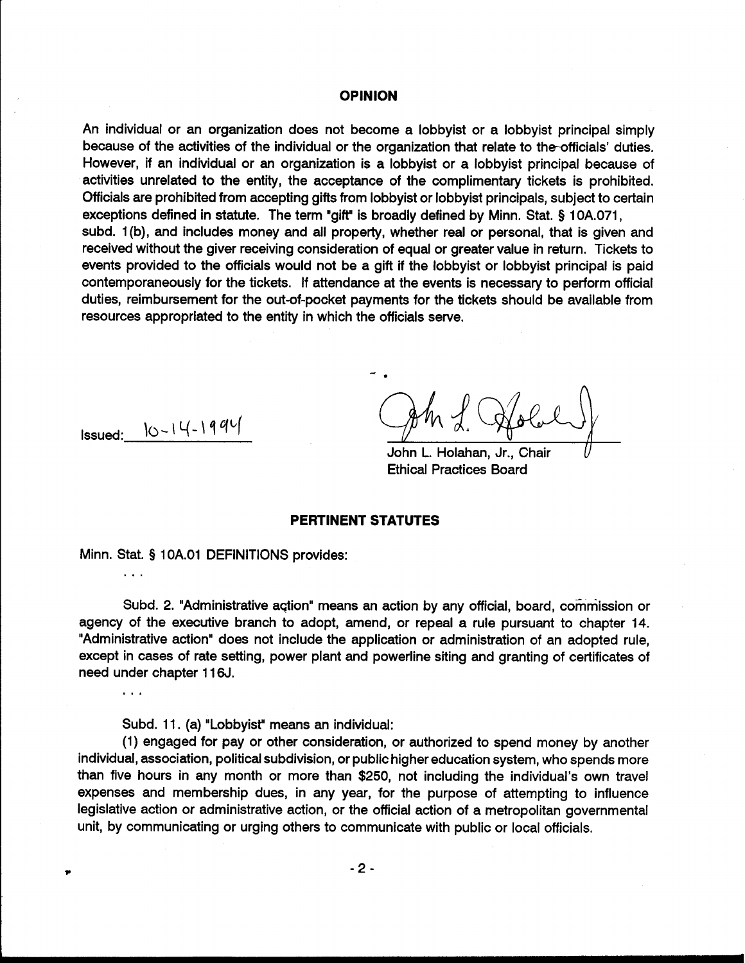#### **OPINION**

An individual or an organization does not become a lobbyist or a lobbyist principal simply because of the activities of the individual or the organization that relate to the-officials' duties. However, if an individual or an organization is a lobbyist or a lobbyist principal because of activities unrelated to the entity, the acceptance of the complimentary tickets is prohibited. Officials are prohibited from accepting gifts from lobbyist or lobbyist principals, subject to certain exceptions defined in statute. The term "gift" is broadly defined by Minn. Stat. § 10A.071, subd. 1(b), and includes money and all property, whether real or personal, that is given and received without the giver receiving consideration of equal or greater value in return. Tickets to events provided to the officials would not be a gift if the lobbyist or lobbyist principal is paid contemporaneously for the tickets. If attendance at the events is necessary to perform official duties, reimbursement for the out-of-pocket payments for the tickets should be available from resources appropriated to the entity in which the officials serve.

 $Issued: \quad |0-14-1994|$ 

. . .

 $\ddotsc$ 

John L. Holahan, Jr., Chair v Ethical Practices Board

#### **PERTINENT STATUTES**

Minn. Stat. § 10A.O1 DEFINITIONS provides:

Subd. 2. "Administrative aqtion" means an action by any official, board, commission or agency of the executive branch to adopt, amend, or repeal a rule pursuant to chapter 14. "Administrative action" does not include the application or administration of an adopted rule, except in cases of rate setting, power plant and powerline siting and granting of certificates of need under chapter 1 16J.

Subd. 11. (a) "Lobbyist" means an individual:

(1) engaged for pay or other consideration, or authorized to spend money by another individual, association, political subdivision, or public higher education system, who spends more than five hours in any month or more than \$250, not including the individual's own travel expenses and membership dues, in any year, for the purpose of attempting to influence legislative action or administrative action, or the official action of a metropolitan governmental unit, by communicating or urging others to communicate with public or local officials.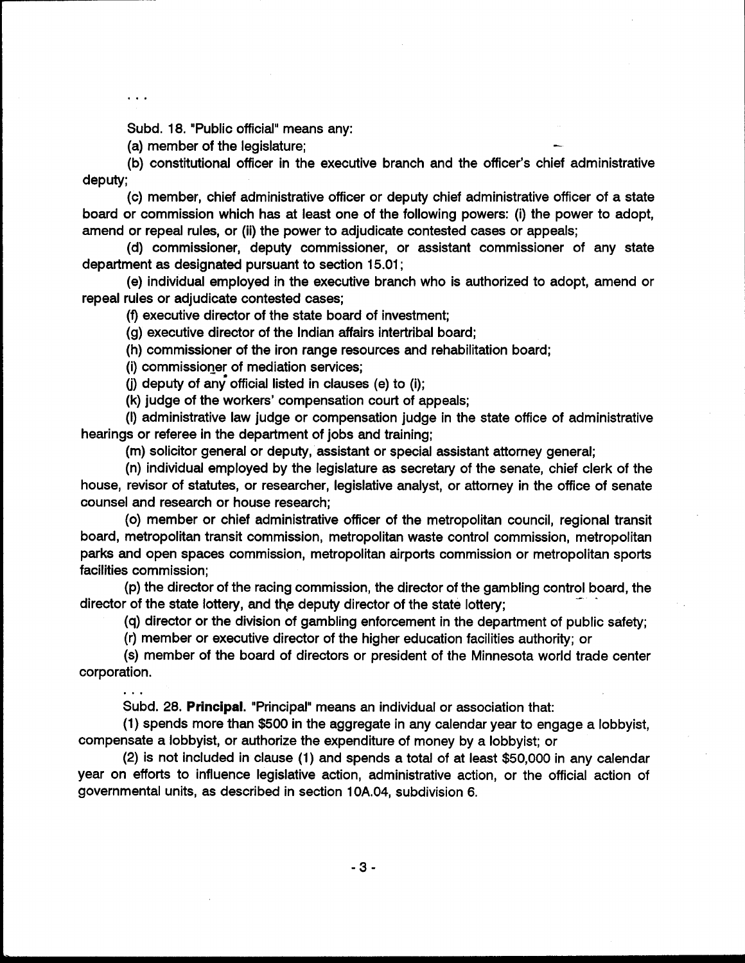$\ddotsc$ 

Subd. 18. "Public official" means any:<br>(a) member of the legislature;

(b) constitutional officer in the executive branch and the officer's chief administrative deputy;

(c) member, chief administrative officer or deputy chief administrative officer of a state board or commission which has at least one of the following powers: (i) the power to adopt, amend or repeal rules, or (ii) the power to adjudicate contested cases or appeals;

(d) commissioner, deputy commissioner, or assistant commissioner of any state department as designated pursuant to section 15.01 ;

(e) individual employed in the executive branch who is authorized to adopt, amend or repeal rules or adjudicate contested cases;

(f) executive director of the state board of investment;

(g) executive director of the Indian affairs intertribal board;

(h) commissioner of the iron range resources and rehabilitation board;

(i) commissioner of mediation services;

(i) deputy of any official listed in clauses (e) to (i);

(k) judge of the workers' compensation court of appeals;

(I) administrative law judge or compensation judge in the state office of administrative hearings or referee in the department of jobs and training;

(m) solicitor general or deputy, assistant or special assistant attorney general;

(n) individual employed by the legislature as secretary of the senate, chief clerk of the house, revisor of statutes, or researcher, legislative analyst, or attorney in the office of senate counsel and research or house research;

(0) member or chief administrative officer of the metropolitan council, regional transit board, metropolitan transit commission, metropolitan waste control commission, metropolitan parks and open spaces commission, metropolitan airports commission or metropolitan sports facilities commission;

(p) the director of the racing commission, the director of the gambling control board, the director of the state lottery;<br>director of the state lottery;

(q) director or the division of gambling enforcement in the department of public safety;

(r) member or executive director of the higher education facilities authority; or

(s) member of the board of directors or president of the Minnesota world trade center corporation.

Subd. 28. Principal. "Principal" means an individual or association that:

(1) spends more than \$500 in the aggregate in any calendar year to engage a lobbyist, compensate a lobbyist, or authorize the expenditure of money by a lobbyist; or

(2) is not included in clause (1) and spends a total of at least \$50,000 in any calendar year on efforts to influence legislative action, administrative action, or the official action of governmental units, as described in section 10A.04, subdivision 6.